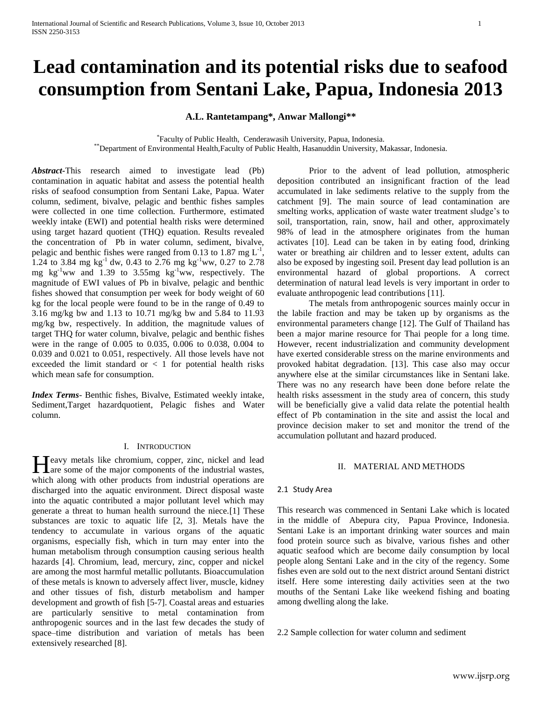# **Lead contamination and its potential risks due to seafood consumption from Sentani Lake, Papua, Indonesia 2013**

**A.L. Rantetampang\*, Anwar Mallongi\*\***

\* Faculty of Public Health, Cenderawasih University, Papua, Indonesia. \*\*Department of Environmental Health,Faculty of Public Health, Hasanuddin University, Makassar, Indonesia.

*Abstract***-**This research aimed to investigate lead (Pb) contamination in aquatic habitat and assess the potential health risks of seafood consumption from Sentani Lake, Papua. Water column, sediment, bivalve, pelagic and benthic fishes samples were collected in one time collection. Furthermore, estimated weekly intake (EWI) and potential health risks were determined using target hazard quotient (THQ) equation. Results revealed the concentration of Pb in water column, sediment, bivalve, pelagic and benthic fishes were ranged from 0.13 to 1.87 mg  $L^{-1}$ , 1.24 to 3.84 mg  $kg^{-1}$  dw, 0.43 to 2.76 mg  $kg^{-1}$ ww, 0.27 to 2.78 mg  $kg^{-1}$ ww and 1.39 to 3.55mg  $kg^{-1}$ ww, respectively. The magnitude of EWI values of Pb in bivalve, pelagic and benthic fishes showed that consumption per week for body weight of 60 kg for the local people were found to be in the range of 0.49 to 3.16 mg/kg bw and 1.13 to 10.71 mg/kg bw and 5.84 to 11.93 mg/kg bw, respectively. In addition, the magnitude values of target THQ for water column, bivalve, pelagic and benthic fishes were in the range of 0.005 to 0.035, 0.006 to 0.038, 0.004 to 0.039 and 0.021 to 0.051, respectively. All those levels have not exceeded the limit standard or  $\langle 1 \rangle$  for potential health risks which mean safe for consumption.

*Index Terms*- Benthic fishes, Bivalve, Estimated weekly intake, Sediment,Target hazardquotient, Pelagic fishes and Water column.

#### I. INTRODUCTION

Teavy metals like chromium, copper, zinc, nickel and lead Heavy metals like chromium, copper, zinc, nickel and lead<br>are some of the major components of the industrial wastes, which along with other products from industrial operations are discharged into the aquatic environment. Direct disposal waste into the aquatic contributed a major pollutant level which may generate a threat to human health surround the niece.[1] These substances are toxic to aquatic life [2, 3]. Metals have the tendency to accumulate in various organs of the aquatic organisms, especially fish, which in turn may enter into the human metabolism through consumption causing serious health hazards [4]. Chromium, lead, mercury, zinc, copper and nickel are among the most harmful metallic pollutants. Bioaccumulation of these metals is known to adversely affect liver, muscle, kidney and other tissues of fish, disturb metabolism and hamper development and growth of fish [5-7]. Coastal areas and estuaries are particularly sensitive to metal contamination from anthropogenic sources and in the last few decades the study of space–time distribution and variation of metals has been extensively researched [8].

Prior to the advent of lead pollution, atmospheric deposition contributed an insignificant fraction of the lead accumulated in lake sediments relative to the supply from the catchment [9]. The main source of lead contamination are smelting works, application of waste water treatment sludge's to soil, transportation, rain, snow, hail and other, approximately 98% of lead in the atmosphere originates from the human activates [10]. Lead can be taken in by eating food, drinking water or breathing air children and to lesser extent, adults can also be exposed by ingesting soil. Present day lead pollution is an environmental hazard of global proportions. A correct determination of natural lead levels is very important in order to evaluate anthropogenic lead contributions [11].

The metals from anthropogenic sources mainly occur in the labile fraction and may be taken up by organisms as the environmental parameters change [12]. The Gulf of Thailand has been a major marine resource for Thai people for a long time. However, recent industrialization and community development have exerted considerable stress on the marine environments and provoked habitat degradation. [13]. This case also may occur anywhere else at the similar circumstances like in Sentani lake. There was no any research have been done before relate the health risks assessment in the study area of concern, this study will be beneficially give a valid data relate the potential health effect of Pb contamination in the site and assist the local and province decision maker to set and monitor the trend of the accumulation pollutant and hazard produced.

# II. MATERIAL AND METHODS

#### 2.1 Study Area

This research was commenced in Sentani Lake which is located in the middle of Abepura city, Papua Province, Indonesia. Sentani Lake is an important drinking water sources and main food protein source such as bivalve, various fishes and other aquatic seafood which are become daily consumption by local people along Sentani Lake and in the city of the regency. Some fishes even are sold out to the next district around Sentani district itself. Here some interesting daily activities seen at the two mouths of the Sentani Lake like weekend fishing and boating among dwelling along the lake.

2.2 Sample collection for water column and sediment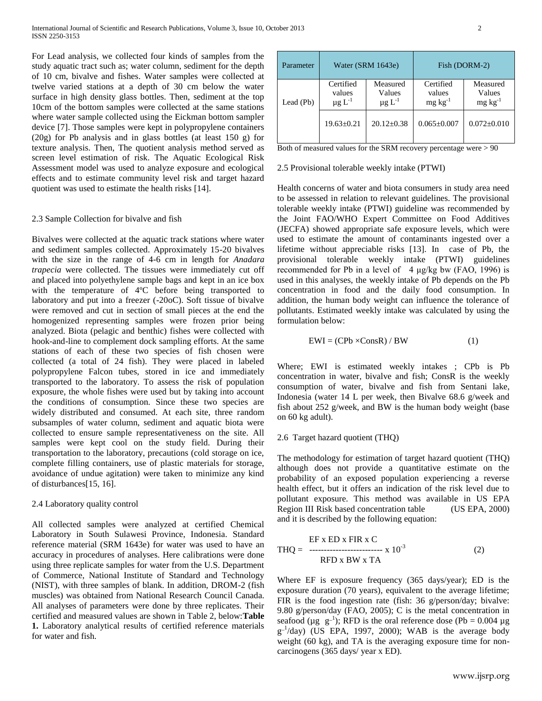For Lead analysis, we collected four kinds of samples from the study aquatic tract such as; water column, sediment for the depth of 10 cm, bivalve and fishes. Water samples were collected at twelve varied stations at a depth of 30 cm below the water surface in high density glass bottles. Then, sediment at the top 10cm of the bottom samples were collected at the same stations where water sample collected using the Eickman bottom sampler device [7]. Those samples were kept in polypropylene containers (20g) for Pb analysis and in glass bottles (at least 150 g) for texture analysis. Then, The quotient analysis method served as screen level estimation of risk. The Aquatic Ecological Risk Assessment model was used to analyze exposure and ecological effects and to estimate community level risk and target hazard quotient was used to estimate the health risks [14].

# 2.3 Sample Collection for bivalve and fish

Bivalves were collected at the aquatic track stations where water and sediment samples collected. Approximately 15-20 bivalves with the size in the range of 4-6 cm in length for *Anadara trapecia* were collected. The tissues were immediately cut off and placed into polyethylene sample bags and kept in an ice box with the temperature of 4ºC before being transported to laboratory and put into a freezer (-20oC). Soft tissue of bivalve were removed and cut in section of small pieces at the end the homogenized representing samples were frozen prior being analyzed. Biota (pelagic and benthic) fishes were collected with hook-and-line to complement dock sampling efforts. At the same stations of each of these two species of fish chosen were collected (a total of 24 fish). They were placed in labeled polypropylene Falcon tubes, stored in ice and immediately transported to the laboratory. To assess the risk of population exposure, the whole fishes were used but by taking into account the conditions of consumption. Since these two species are widely distributed and consumed. At each site, three random subsamples of water column, sediment and aquatic biota were collected to ensure sample representativeness on the site. All samples were kept cool on the study field. During their transportation to the laboratory, precautions (cold storage on ice, complete filling containers, use of plastic materials for storage, avoidance of undue agitation) were taken to minimize any kind of disturbances[15, 16].

## 2.4 Laboratory quality control

All collected samples were analyzed at certified Chemical Laboratory in South Sulawesi Province, Indonesia. Standard reference material (SRM 1643e) for water was used to have an accuracy in procedures of analyses. Here calibrations were done using three replicate samples for water from the U.S. Department of Commerce, National Institute of Standard and Technology (NIST), with three samples of blank. In addition, DROM-2 (fish muscles) was obtained from National Research Council Canada. All analyses of parameters were done by three replicates. Their certified and measured values are shown in Table 2, below:**Table 1.** Laboratory analytical results of certified reference materials for water and fish.

| Parameter | Water (SRM 1643e)                              |                                               | Fish (DORM-2)                          |                                       |  |  |
|-----------|------------------------------------------------|-----------------------------------------------|----------------------------------------|---------------------------------------|--|--|
| Lead (Pb) | Certified<br>values<br>$\mu$ g L <sup>-1</sup> | Measured<br>Values<br>$\mu$ g L <sup>-1</sup> | Certified<br>values<br>$mg \, kg^{-1}$ | Measured<br>Values<br>$mg \, kg^{-1}$ |  |  |
|           | $19.63 + 0.21$                                 | $20.12 \pm 0.38$                              | $0.065 \pm 0.007$                      | $0.072 \pm 0.010$                     |  |  |

Both of measured values for the SRM recovery percentage were > 90

#### 2.5 Provisional tolerable weekly intake (PTWI)

Health concerns of water and biota consumers in study area need to be assessed in relation to relevant guidelines. The provisional tolerable weekly intake (PTWI) guideline was recommended by the Joint FAO/WHO Expert Committee on Food Additives (JECFA) showed appropriate safe exposure levels, which were used to estimate the amount of contaminants ingested over a lifetime without appreciable risks [13]. In case of Pb, the provisional tolerable weekly intake (PTWI) guidelines recommended for Pb in a level of  $4 \mu g/kg$  bw (FAO, 1996) is used in this analyses, the weekly intake of Pb depends on the Pb concentration in food and the daily food consumption. In addition, the human body weight can influence the tolerance of pollutants. Estimated weekly intake was calculated by using the formulation below:

$$
EWI = (CPb \times ConsR) / BW \tag{1}
$$

Where; EWI is estimated weekly intakes ; CPb is Pb concentration in water, bivalve and fish; ConsR is the weekly consumption of water, bivalve and fish from Sentani lake, Indonesia (water 14 L per week, then Bivalve 68.6 g/week and fish about 252 g/week, and BW is the human body weight (base on 60 kg adult).

# 2.6 Target hazard quotient (THQ)

The methodology for estimation of target hazard quotient (THQ) although does not provide a quantitative estimate on the probability of an exposed population experiencing a reverse health effect, but it offers an indication of the risk level due to pollutant exposure. This method was available in US EPA Region III Risk based concentration table (US EPA, 2000) and it is described by the following equation:

$$
THQ = \frac{EF \times ED \times FIR \times C}{RFD \times BW \times TA}
$$
 (2)

Where EF is exposure frequency (365 days/year); ED is the exposure duration (70 years), equivalent to the average lifetime; FIR is the food ingestion rate (fish: 36 g/person/day; bivalve: 9.80 g/person/day (FAO, 2005); C is the metal concentration in seafood ( $\mu$ g  $g^{-1}$ ); RFD is the oral reference dose (Pb = 0.004  $\mu$ g  $g^{-1}/day)$  (US EPA, 1997, 2000); WAB is the average body weight (60 kg), and TA is the averaging exposure time for noncarcinogens (365 days/ year x ED).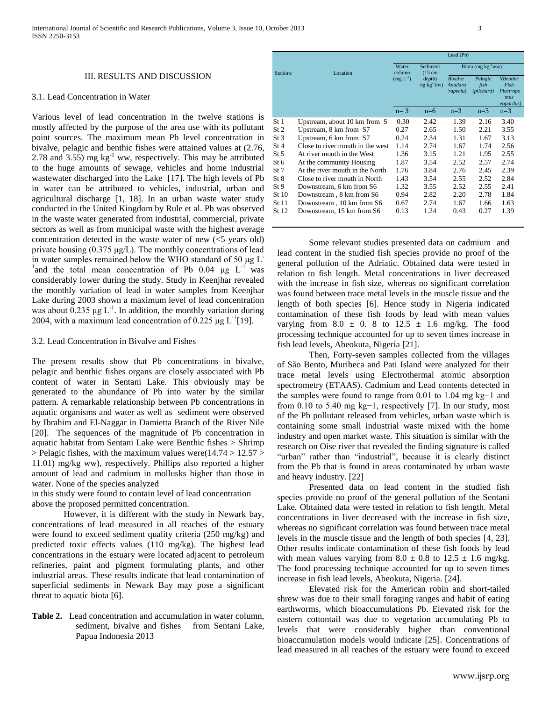#### III. RESULTS AND DISCUSSION

# 3.1. Lead Concentration in Water

Various level of lead concentration in the twelve stations is mostly affected by the purpose of the area use with its pollutant point sources. The maximum mean Pb level concentration in bivalve, pelagic and benthic fishes were attained values at (2.76, 2.78 and  $3.55$ ) mg kg<sup>-1</sup> ww, respectively. This may be attributed to the huge amounts of sewage, vehicles and home industrial wastewater discharged into the Lake [17]. The high levels of Pb in water can be attributed to vehicles, industrial, urban and agricultural discharge [1, 18]. In an urban waste water study conducted in the United Kingdom by Rule et al. Pb was observed in the waste water generated from industrial, commercial, private sectors as well as from municipal waste with the highest average concentration detected in the waste water of new  $\langle$ <5 years old) private housing  $(0.375 \mu g/L)$ . The monthly concentrations of lead in water samples remained below the WHO standard of 50 μg L-<sup>1</sup> and the total mean concentration of Pb 0.04  $\mu$ g L<sup>-1</sup> was considerably lower during the study. Study in Keenjhar revealed the monthly variation of lead in water samples from Keenjhar Lake during 2003 shown a maximum level of lead concentration was about  $0.235 \mu g L^{-1}$ . In addition, the monthly variation during 2004, with a maximum lead concentration of 0.225  $\mu$ g L<sup>-1</sup>[19].

## 3.2. Lead Concentration in Bivalve and Fishes

The present results show that Pb concentrations in bivalve, pelagic and benthic fishes organs are closely associated with Pb content of water in Sentani Lake. This obviously may be generated to the abundance of Pb into water by the similar pattern. A remarkable relationship between Pb concentrations in aquatic organisms and water as well as sediment were observed by Ibrahim and El-Naggar in Damietta Branch of the River Nile [20]. The sequences of the magnitude of Pb concentration in aquatic habitat from Sentani Lake were Benthic fishes > Shrimp > Pelagic fishes*,* with the maximum values were(14.74 > 12.57 > 11.01) mg/kg ww), respectively. Phillips also reported a higher amount of lead and cadmium in mollusks higher than those in water. None of the species analyzed

in this study were found to contain level of lead concentration above the proposed permitted concentration.

However, it is different with the study in Newark bay, concentrations of lead measured in all reaches of the estuary were found to exceed sediment quality criteria (250 mg/kg) and predicted toxic effects values (110 mg/kg). The highest lead concentrations in the estuary were located adjacent to petroleum refineries, paint and pigment formulating plants, and other industrial areas. These results indicate that lead contamination of superficial sediments in Newark Bay may pose a significant threat to aquatic biota [6].

**Table 2.** Lead concentration and accumulation in water column, sediment, bivalve and fishes from Sentani Lake, Papua Indonesia 2013

|                 |                                  | Lead (Pb)       |                               |                                               |                               |                                                           |
|-----------------|----------------------------------|-----------------|-------------------------------|-----------------------------------------------|-------------------------------|-----------------------------------------------------------|
| <b>Stations</b> | Location                         | Water<br>column | Sediment<br>$(15 \text{ cm})$ | Biota (mg $kg^{-1}ww$ )                       |                               |                                                           |
|                 |                                  | $(mg L^{-1})$   | depth)<br>$ng \ kg^{-1}dw$    | <b>Bivalve</b><br>Anadara<br><i>rapecia</i> ) | Pelagic<br>fish<br>(pilchard) | <b>N</b> Benthic<br>Fish<br>Plectropo<br>mus<br>eopardus) |
|                 |                                  | $n=3$           | $n=6$                         | $n=3$                                         | $n=3$                         | $n=3$                                                     |
| St 1            | Upstream, about 10 km from S     | 0.30            | 2.42                          | 1.39                                          | 2.16                          | 3.40                                                      |
| St <sub>2</sub> | Upstream, 8 km from S7           | 0.27            | 2.65                          | 1.50                                          | 2.21                          | 3.55                                                      |
| St <sub>3</sub> | Upstream, 6 km from S7           | 0.24            | 2.34                          | 1.31                                          | 1.67                          | 3.13                                                      |
| St4             | Close to river mouth in the west | 1.14            | 2.74                          | 1.67                                          | 1.74                          | 2.56                                                      |
| St <sub>5</sub> | At river mouth in the West       | 1.36            | 3.15                          | 1.21                                          | 1.95                          | 2.55                                                      |
| St 6            | At the community Housing         | 1.87            | 3.54                          | 2.52                                          | 2.57                          | 2.74                                                      |
| St 7            | At the river mouth in the North  | 1.76            | 3.84                          | 2.76                                          | 2.45                          | 2.39                                                      |
| St 8            | Close to river mouth in North    | 1.43            | 3.54                          | 2.55                                          | 2.52                          | 2.84                                                      |
| St <sub>9</sub> | Downstream, 6 km from S6         | 1.32            | 3.55                          | 2.52                                          | 2.55                          | 2.41                                                      |
| St 10           | Downstream, 8 km from S6         | 0.94            | 2.82                          | 2.20                                          | 2.78                          | 1.84                                                      |
| St 11           | Downstream, 10 km from S6        | 0.67            | 2.74                          | 1.67                                          | 1.66                          | 1.63                                                      |
| St 12           | Downstream, 15 km from S6        | 0.13            | 1.24                          | 0.43                                          | 0.27                          | 1.39                                                      |

Some relevant studies presented data on cadmium and lead content in the studied fish species provide no proof of the general pollution of the Adriatic. Obtained data were tested in relation to fish length. Metal concentrations in liver decreased with the increase in fish size, whereas no significant correlation was found between trace metal levels in the muscle tissue and the length of both species [6]. Hence study in Nigeria indicated contamination of these fish foods by lead with mean values varying from  $8.0 \pm 0.8$  to  $12.5 \pm 1.6$  mg/kg. The food processing technique accounted for up to seven times increase in fish lead levels, Abeokuta, Nigeria [21].

Then, Forty-seven samples collected from the villages of São Bento, Muribeca and Pati Island were analyzed for their trace metal levels using Electrothermal atomic absorption spectrometry (ETAAS). Cadmium and Lead contents detected in the samples were found to range from 0.01 to 1.04 mg kg−1 and from 0.10 to 5.40 mg kg−1, respectively [7]. In our study, most of the Pb pollutant released from vehicles, urban waste which is containing some small industrial waste mixed with the home industry and open market waste. This situation is similar with the research on Oise river that revealed the finding signature is called "urban" rather than "industrial", because it is clearly distinct from the Pb that is found in areas contaminated by urban waste and heavy industry. [22]

Presented data on lead content in the studied fish species provide no proof of the general pollution of the Sentani Lake. Obtained data were tested in relation to fish length. Metal concentrations in liver decreased with the increase in fish size, whereas no significant correlation was found between trace metal levels in the muscle tissue and the length of both species [4, 23]. Other results indicate contamination of these fish foods by lead with mean values varying from  $8.0 \pm 0.8$  to  $12.5 \pm 1.6$  mg/kg. The food processing technique accounted for up to seven times increase in fish lead levels, Abeokuta, Nigeria. [24].

Elevated risk for the American robin and short-tailed shrew was due to their small foraging ranges and habit of eating earthworms, which bioaccumulations Pb. Elevated risk for the eastern cottontail was due to vegetation accumulating Pb to levels that were considerably higher than conventional bioaccumulation models would indicate [25]. Concentrations of lead measured in all reaches of the estuary were found to exceed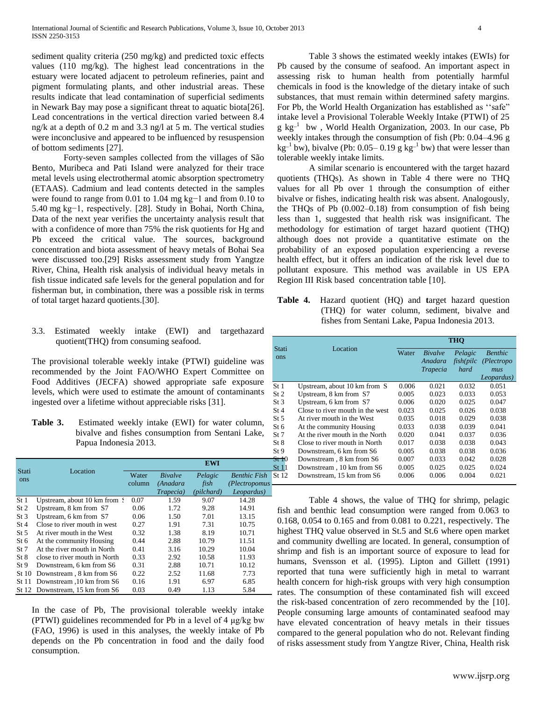sediment quality criteria (250 mg/kg) and predicted toxic effects values (110 mg/kg). The highest lead concentrations in the estuary were located adjacent to petroleum refineries, paint and pigment formulating plants, and other industrial areas. These results indicate that lead contamination of superficial sediments in Newark Bay may pose a significant threat to aquatic biota[26]. Lead concentrations in the vertical direction varied between 8.4 ng/k at a depth of 0.2 m and 3.3 ng/l at 5 m. The vertical studies were inconclusive and appeared to be influenced by resuspension of bottom sediments [27].

Forty-seven samples collected from the villages of São Bento, Muribeca and Pati Island were analyzed for their trace metal levels using electrothermal atomic absorption spectrometry (ETAAS). Cadmium and lead contents detected in the samples were found to range from 0.01 to 1.04 mg kg−1 and from 0.10 to 5.40 mg kg−1, respectively. [28]. Study in Bohai, North China, Data of the next year verifies the uncertainty analysis result that with a confidence of more than 75% the risk quotients for Hg and Pb exceed the critical value. The sources, background concentration and biota assessment of heavy metals of Bohai Sea were discussed too.[29] Risks assessment study from Yangtze River, China, Health risk analysis of individual heavy metals in fish tissue indicated safe levels for the general population and for fisherman but, in combination, there was a possible risk in terms of total target hazard quotients.[30].

3.3. Estimated weekly intake (EWI) and targethazard quotient(THQ) from consuming seafood.

The provisional tolerable weekly intake (PTWI) guideline was recommended by the Joint FAO/WHO Expert Committee on Food Additives (JECFA) showed appropriate safe exposure levels, which were used to estimate the amount of contaminants ingested over a lifetime without appreciable risks [31].

**Table 3.** Estimated weekly intake (EWI) for water column, bivalve and fishes consumption from Sentani Lake, Papua Indonesia 2013.

|                 |                                 |                 | <b>EWI</b>                 |                 |                                          |  |  |
|-----------------|---------------------------------|-----------------|----------------------------|-----------------|------------------------------------------|--|--|
| Stati<br>ons    | Location                        | Water<br>column | <b>Bivalve</b><br>(Anadara | Pelagic<br>fish | <b>Benthic Fish</b><br>$(Plectropomus -$ |  |  |
|                 |                                 |                 | Trapecia)                  | (pilchard)      | Leopardus)                               |  |  |
| St <sub>1</sub> | Upstream, about 10 km from \$   | 0.07            | 1.59                       | 9.07            | 14.28                                    |  |  |
| St <sub>2</sub> | Upstream, 8 km from S7          | 0.06            | 1.72                       | 9.28            | 14.91                                    |  |  |
| St 3            | Upstream, 6 km from S7          | 0.06            | 1.50                       | 7.01            | 13.15                                    |  |  |
| St4             | Close to river mouth in west    | 0.27            | 1.91                       | 7.31            | 10.75                                    |  |  |
| St 5            | At river mouth in the West      | 0.32            | 1.38                       | 8.19            | 10.71                                    |  |  |
| St 6            | At the community Housing        | 0.44            | 2.88                       | 10.79           | 11.51                                    |  |  |
| St 7            | At the river mouth in North     | 0.41            | 3.16                       | 10.29           | 10.04                                    |  |  |
| St 8            | close to river mouth in North   | 0.33            | 2.92                       | 10.58           | 11.93                                    |  |  |
| St 9            | Downstream, 6 km from S6        | 0.31            | 2.88                       | 10.71           | 10.12                                    |  |  |
| St 10           | Downstream, 8 km from S6        | 0.22            | 2.52                       | 11.68           | 7.73                                     |  |  |
| St 11           | Downstream ,10 km from S6       | 0.16            | 1.91                       | 6.97            | 6.85                                     |  |  |
|                 | St 12 Downstream, 15 km from S6 | 0.03            | 0.49                       | 1.13            | 5.84                                     |  |  |

In the case of Pb, The provisional tolerable weekly intake (PTWI) guidelines recommended for Pb in a level of 4 μg/kg bw (FAO, 1996) is used in this analyses, the weekly intake of Pb depends on the Pb concentration in food and the daily food consumption.

Table 3 shows the estimated weekly intakes (EWIs) for Pb caused by the consume of seafood. An important aspect in assessing risk to human health from potentially harmful chemicals in food is the knowledge of the dietary intake of such substances, that must remain within determined safety margins. For Pb, the World Health Organization has established as "safe" intake level a Provisional Tolerable Weekly Intake (PTWI) of 25  $g$  kg<sup>-1</sup> bw, World Health Organization, 2003. In our case, Pb weekly intakes through the consumption of fish (Pb: 0.04–4.96 g  $kg^{-1}$  bw), bivalve (Pb: 0.05–0.19 g kg<sup>-1</sup> bw) that were lesser than tolerable weekly intake limits.

A similar scenario is encountered with the target hazard quotients (THQs). As shown in Table 4 there were no THQ values for all Pb over 1 through the consumption of either bivalve or fishes, indicating health risk was absent. Analogously, the THQs of Pb (0.002–0.18) from consumption of fish being less than 1, suggested that health risk was insignificant. The methodology for estimation of target hazard quotient (THQ) although does not provide a quantitative estimate on the probability of an exposed population experiencing a reverse health effect, but it offers an indication of the risk level due to pollutant exposure. This method was available in US EPA Region III Risk based concentration table [10].

**Table 4.** Hazard quotient (HQ) and **t**arget hazard question (THQ) for water column, sediment, bivalve and fishes from Sentani Lake, Papua Indonesia 2013.

|                 |                                  | <b>THO</b> |                                              |                               |                                                   |  |  |
|-----------------|----------------------------------|------------|----------------------------------------------|-------------------------------|---------------------------------------------------|--|--|
| Stati<br>ons    | Location                         | Water      | <b>Bivalve</b><br>Anadara<br><b>Trapecia</b> | Pelagic<br>fish(pilc)<br>hard | <b>Benthic</b><br>(Plectropo<br>mus<br>Leopardus) |  |  |
| St <sub>1</sub> | Upstream, about 10 km from S     | 0.006      | 0.021                                        | 0.032                         | 0.051                                             |  |  |
| St 2            | Upstream, 8 km from S7           | 0.005      | 0.023                                        | 0.033                         | 0.053                                             |  |  |
| St <sub>3</sub> | Upstream, 6 km from S7           | 0.006      | 0.020                                        | 0.025                         | 0.047                                             |  |  |
| St4             | Close to river mouth in the west | 0.023      | 0.025                                        | 0.026                         | 0.038                                             |  |  |
| St 5            | At river mouth in the West       | 0.035      | 0.018                                        | 0.029                         | 0.038                                             |  |  |
| St 6            | At the community Housing         | 0.033      | 0.038                                        | 0.039                         | 0.041                                             |  |  |
| St 7            | At the river mouth in the North  | 0.020      | 0.041                                        | 0.037                         | 0.036                                             |  |  |
| St 8            | Close to river mouth in North    | 0.017      | 0.038                                        | 0.038                         | 0.043                                             |  |  |
| St 9            | Downstream, 6 km from S6         | 0.005      | 0.038                                        | 0.038                         | 0.036                                             |  |  |
| St 10           | Downstream, 8 km from S6         | 0.007      | 0.033                                        | 0.042                         | 0.028                                             |  |  |
| St 11           | Downstream, 10 km from S6        | 0.005      | 0.025                                        | 0.025                         | 0.024                                             |  |  |
| St 12           | Downstream, 15 km from S6        | 0.006      | 0.006                                        | 0.004                         | 0.021                                             |  |  |

Table 4 shows, the value of THQ for shrimp, pelagic fish and benthic lead consumption were ranged from 0.063 to 0.168, 0.054 to 0.165 and from 0.081 to 0.221, respectively. The highest THQ value observed in St.5 and St.6 where open market and community dwelling are located. In general, consumption of shrimp and fish is an important source of exposure to lead for humans, Svensson et al. (1995). Lipton and Gillett (1991) reported that tuna were sufficiently high in metal to warrant health concern for high-risk groups with very high consumption rates. The consumption of these contaminated fish will exceed the risk-based concentration of zero recommended by the [10]. People consuming large amounts of contaminated seafood may have elevated concentration of heavy metals in their tissues compared to the general population who do not. Relevant finding of risks assessment study from Yangtze River, China, Health risk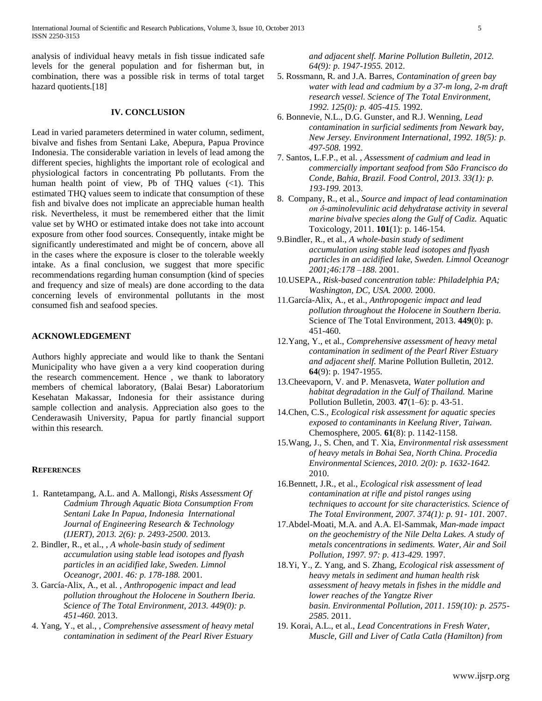analysis of individual heavy metals in fish tissue indicated safe levels for the general population and for fisherman but, in combination, there was a possible risk in terms of total target hazard quotients.[18]

# **IV. CONCLUSION**

Lead in varied parameters determined in water column, sediment, bivalve and fishes from Sentani Lake, Abepura, Papua Province Indonesia. The considerable variation in levels of lead among the different species, highlights the important role of ecological and physiological factors in concentrating Pb pollutants. From the human health point of view, Pb of THQ values  $(\langle 1 \rangle)$ . This estimated THQ values seem to indicate that consumption of these fish and bivalve does not implicate an appreciable human health risk. Nevertheless, it must be remembered either that the limit value set by WHO or estimated intake does not take into account exposure from other food sources. Consequently, intake might be significantly underestimated and might be of concern, above all in the cases where the exposure is closer to the tolerable weekly intake. As a final conclusion, we suggest that more specific recommendations regarding human consumption (kind of species and frequency and size of meals) are done according to the data concerning levels of environmental pollutants in the most consumed fish and seafood species.

# **ACKNOWLEDGEMENT**

Authors highly appreciate and would like to thank the Sentani Municipality who have given a a very kind cooperation during the research commencement. Hence , we thank to laboratory members of chemical laboratory, (Balai Besar) Laboratorium Kesehatan Makassar, Indonesia for their assistance during sample collection and analysis. Appreciation also goes to the Cenderawasih University, Papua for partly financial support within this research.

#### **REFERENCES**

- 1. Rantetampang, A.L. and A. Mallongi, *Risks Assessment Of Cadmium Through Aquatic Biota Consumption From Sentani Lake In Papua, Indonesia International Journal of Engineering Research & Technology (IJERT), 2013. 2(6): p. 2493-2500.* 2013.
- 2. Bindler, R., et al., , *A whole-basin study of sediment accumulation using stable lead isotopes and flyash particles in an acidified lake, Sweden. Limnol Oceanogr, 2001. 46: p. 178-188.* 2001.
- 3. García-Alix, A., et al. , *Anthropogenic impact and lead pollution throughout the Holocene in Southern Iberia. Science of The Total Environment, 2013. 449(0): p. 451-460.* 2013.
- 4. Yang, Y., et al., , *Comprehensive assessment of heavy metal contamination in sediment of the Pearl River Estuary*

*and adjacent shelf. Marine Pollution Bulletin, 2012. 64(9): p. 1947-1955.* 2012.

- 5. Rossmann, R. and J.A. Barres, *Contamination of green bay water with lead and cadmium by a 37-m long, 2-m draft research vessel. Science of The Total Environment, 1992. 125(0): p. 405-415.* 1992.
- 6. Bonnevie, N.L., D.G. Gunster, and R.J. Wenning, *Lead contamination in surficial sediments from Newark bay, New Jersey. Environment International, 1992. 18(5): p. 497-508.* 1992.
- 7. Santos, L.F.P., et al. , *Assessment of cadmium and lead in commercially important seafood from São Francisco do Conde, Bahia, Brazil. Food Control, 2013. 33(1): p. 193-199.* 2013.
- 8. Company, R., et al., *Source and impact of lead contamination on δ-aminolevulinic acid dehydratase activity in several marine bivalve species along the Gulf of Cadiz.* Aquatic Toxicology, 2011. **101**(1): p. 146-154.
- 9.Bindler, R., et al., *A whole-basin study of sediment accumulation using stable lead isotopes and flyash particles in an acidified lake, Sweden. Limnol Oceanogr 2001;46:178 –188.* 2001.
- 10.USEPA., *Risk-based concentration table: Philadelphia PA; Washington, DC, USA. 2000.* 2000.
- 11.García-Alix, A., et al., *Anthropogenic impact and lead pollution throughout the Holocene in Southern Iberia.* Science of The Total Environment, 2013. **449**(0): p. 451-460.
- 12.Yang, Y., et al., *Comprehensive assessment of heavy metal contamination in sediment of the Pearl River Estuary and adjacent shelf.* Marine Pollution Bulletin, 2012. **64**(9): p. 1947-1955.
- 13.Cheevaporn, V. and P. Menasveta, *Water pollution and habitat degradation in the Gulf of Thailand.* Marine Pollution Bulletin, 2003. **47**(1–6): p. 43-51.
- 14.Chen, C.S., *Ecological risk assessment for aquatic species exposed to contaminants in Keelung River, Taiwan.* Chemosphere, 2005. **61**(8): p. 1142-1158.
- 15.Wang, J., S. Chen, and T. Xia, *Environmental risk assessment of heavy metals in Bohai Sea, North China. Procedia Environmental Sciences, 2010. 2(0): p. 1632-1642.* 2010.
- 16.Bennett, J.R., et al., *Ecological risk assessment of lead contamination at rifle and pistol ranges using techniques to account for site characteristics. Science of The Total Environment, 2007. 374(1): p. 91- 101.* 2007.
- 17.Abdel-Moati, M.A. and A.A. El-Sammak, *Man-made impact on the geochemistry of the Nile Delta Lakes. A study of metals concentrations in sediments. Water, Air and Soil Pollution, 1997. 97: p. 413-429.* 1997.
- 18.Yi, Y., Z. Yang, and S. Zhang, *Ecological risk assessment of heavy metals in sediment and human health risk assessment of heavy metals in fishes in the middle and lower reaches of the Yangtze River basin. Environmental Pollution, 2011. 159(10): p. 2575- 2585.* 2011.
- 19. Korai, A.L., et al., *Lead Concentrations in Fresh Water, Muscle, Gill and Liver of Catla Catla (Hamilton) from*